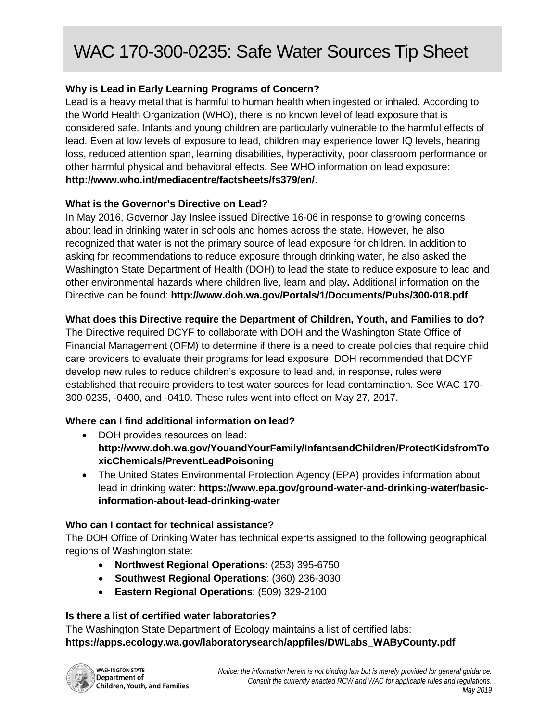# WAC 170-300-0235: Safe Water Sources Tip Sheet

# **Why is Lead in Early Learning Programs of Concern?**

Lead is a heavy metal that is harmful to human health when ingested or inhaled. According to the World Health Organization (WHO), there is no known level of lead exposure that is considered safe. Infants and young children are particularly vulnerable to the harmful effects of lead. Even at low levels of exposure to lead, children may experience lower IQ levels, hearing loss, reduced attention span, learning disabilities, hyperactivity, poor classroom performance or other harmful physical and behavioral effects. See WHO information on lead exposure: **<http://www.who.int/mediacentre/factsheets/fs379/en/>**.

# **What is the Governor's Directive on Lead?**

In May 2016, Governor Jay Inslee issued Directive 16-06 in response to growing concerns about lead in drinking water in schools and homes across the state. However, he also recognized that water is not the primary source of lead exposure for children. In addition to asking for recommendations to reduce exposure through drinking water, he also asked the Washington State Department of Health (DOH) to lead the state to reduce exposure to lead and other environmental hazards where children live, learn and play**.** Additional information on the Directive can be found: **<http://www.doh.wa.gov/Portals/1/Documents/Pubs/300-018.pdf>**.

# **What does this Directive require the Department of Children, Youth, and Families to do?**

The Directive required DCYF to collaborate with DOH and the Washington State Office of Financial Management (OFM) to determine if there is a need to create policies that require child care providers to evaluate their programs for lead exposure. DOH recommended that DCYF develop new rules to reduce children's exposure to lead and, in response, rules were established that require providers to test water sources for lead contamination. See WAC 170- 300-0235, -0400, and -0410. These rules went into effect on May 27, 2017.

# **Where can I find additional information on lead?**

- DOH provides resources on lead: **[http://www.doh.wa.gov/YouandYourFamily/InfantsandChildren/ProtectKidsfromTo](http://www.doh.wa.gov/YouandYourFamily/InfantsandChildren/ProtectKidsfromToxicChemicals/PreventLeadPoisoning) [xicChemicals/PreventLeadPoisoning](http://www.doh.wa.gov/YouandYourFamily/InfantsandChildren/ProtectKidsfromToxicChemicals/PreventLeadPoisoning)**
- The United States Environmental Protection Agency (EPA) provides information about lead in drinking water: **[https://www.epa.gov/ground-water-and-drinking-water/basic](https://www.epa.gov/ground-water-and-drinking-water/basic-information-about-lead-drinking-water)[information-about-lead-drinking-water](https://www.epa.gov/ground-water-and-drinking-water/basic-information-about-lead-drinking-water)**

## **Who can I contact for technical assistance?**

The DOH Office of Drinking Water has technical experts assigned to the following geographical regions of Washington state:

- **Northwest Regional Operations:** (253) 395-6750
- **Southwest Regional Operations**: (360) 236-3030
- **Eastern Regional Operations**: (509) 329-2100

## **Is there a list of certified water laboratories?**

The Washington State Department of Ecology maintains a list of certified labs: **[https://apps.ecology.wa.gov/laboratorysearch/appfiles/DWLabs\\_WAByCounty.pdf](https://apps.ecology.wa.gov/laboratorysearch/appfiles/DWLabs_WAByCounty.pdf)**